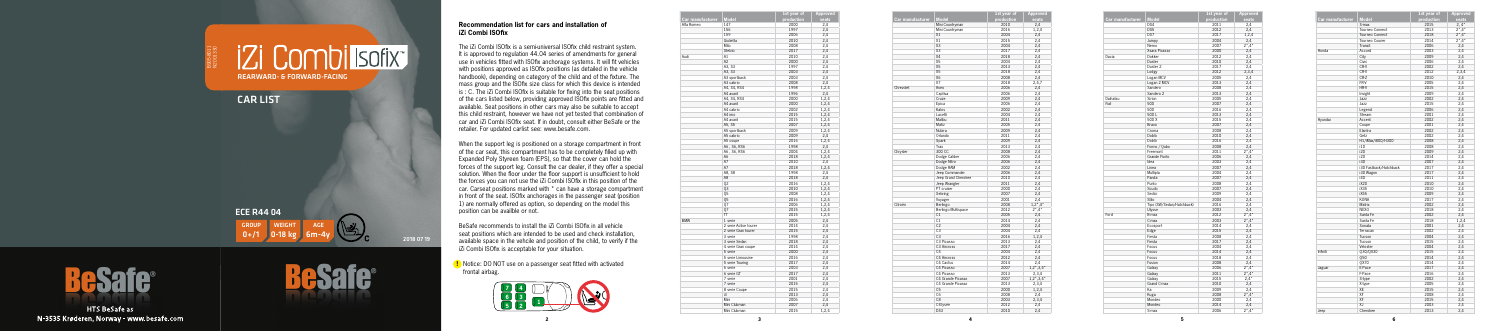the company of the company

**5**



**!** Notice: DO NOT use on a passenger seat fitted with activated frontal airbag.

|                  |                       | 1st year of | <b>Approved</b> |
|------------------|-----------------------|-------------|-----------------|
| Car manufacturer | <b>Model</b>          | production  | seats           |
| Alfa Romeo       | 147                   | 2000        | 2,4             |
|                  | 156                   | 1997        | 2,4             |
|                  | 159                   | 2006        | 2,4             |
|                  | Giulietta             | 2010        | 2,4             |
|                  | Mito                  | 2008        | 2,4             |
|                  | Stelvio               | 2017        | 2,4             |
| Audi             | A1                    | 2010        | 2,4             |
|                  | A2                    | 2000        | 2,4             |
|                  | A3, S3                | 1997        | 2,4             |
|                  | A3, S3                | 2003        | 2,4             |
|                  | A3 sportback          | 2003        | 2,4             |
|                  | A3 cabrio             | 2008        | 2,4             |
|                  | A4. S4. RS4           | 1998        | 1.2.4           |
|                  | A4 avant              | 1996        | 2,4             |
|                  | A4, S4, RS4           | 2000        | 1,2,4           |
|                  | A4 avant              | 2000        | 1,2,4           |
|                  | A4 cabrio             | 2002        | 1,2,4           |
|                  | A4 imo                | 2015        | 1,2,4           |
|                  | A4 avant              | 2015        | 1,2,4           |
|                  | A5. S5                | 2007        |                 |
|                  |                       |             | 1,2,4           |
|                  | A5 sportback          | 2009        | 1,2,4           |
|                  | A5 cabrio             | 2009        | 2,4             |
|                  | A5 coupe              | 2016        | 1,2,4           |
|                  | A6, S6, RS6           | 1998        | 2,4             |
|                  | A6, S6, RS6           | 2004        | 1,2,4           |
|                  | A6                    | 2018        | 1,2,4           |
|                  | A7                    | 2010        | 2,4             |
|                  | A7                    | 2018        | 1,2,4           |
|                  | A8, S8                | 1998        | 2,4             |
|                  | A8                    | 2018        | 2,4             |
|                  | 02                    | 2016        | 1,2,4           |
|                  | 03                    | 2010        | 1,2,4           |
|                  | Q5                    | 2008        | 1,2,4           |
|                  | 05                    | 2016        | 1,2,4           |
|                  | 07                    | 2006        | 1,2,4           |
|                  | 07                    | 2015        | 1,2,4           |
|                  | π                     | 2015        | 1,2,4           |
| <b>BMW</b>       | 1 serie               | 2005        | 2,4             |
|                  | 2 serie Active tourer | 2014        | 2,4             |
|                  | 2 serie Gran tourer   | 2015        | 2,4             |
|                  | 3 serie               | 1998        | 2,4             |
|                  | 3 serie Sedan         | 2018        | 2,4             |
|                  | 4 serie Gran coupe    | 2014        | 2,4             |
|                  | 5 serie               | 2000        | 2,4             |
|                  | 5 serie Limousine     | 2016        | 2,4             |
|                  | 5 serie Touring       | 2017        | 2,4             |
|                  | 6 serie               | 2003        | 2,4             |
|                  | 6 serie GT            | 2017        | 2,4             |
|                  | 7 serie               | 2001        | 2,4             |
|                  | 7 serie               | 2015        | 2,4             |
|                  | 8 serie Coupe         | 2015        | 2,4             |
|                  | i3                    | 2013        | 2,4             |
|                  |                       |             |                 |
|                  | Mini                  | 2006        | 2,4             |
|                  | Mini Clubman          | 2007        | 2,4             |
|                  | Mini Clubman          | 2015        | 1,2,4           |

Combi sofix REARWARD- & FORWARD-FACING

## $0+/1$ ECE R44 04  $G$ ROUP 2018 07 19



**HTS BeSafe as** N-3535 Krøderen, Norway - www.besafe.com



|                         |                     | $1st$ year of | <b>Approved</b>                |
|-------------------------|---------------------|---------------|--------------------------------|
| <b>Car manufacturer</b> | <b>Model</b>        | production    | seats                          |
|                         | Mini Countryman     | 2010          | 2,4                            |
|                         | Mini Countryman     | 2016          | 1,2,4                          |
|                         | X1                  | 2004          | 2,4                            |
|                         | X1                  | 2015          | 2,4                            |
|                         | X <sub>3</sub>      | 2004          | 2,4                            |
|                         | X3                  | 2017          | 2,4                            |
|                         | <b>X4</b>           | 2018          | 2,4                            |
|                         | X5                  | 2004          | 2,4                            |
|                         | X5                  | 2013          | 2.4                            |
|                         | X5                  | 2018          | 2,4                            |
|                         | X6                  | 2008          | 2,4                            |
|                         | X7                  | 2018          | 2,4,7                          |
| Chrevolet               | Aveo                | 2006          | 2.4                            |
|                         |                     | 2006          |                                |
|                         | Captiva<br>Cruze    | 2009          | 2,4<br>2,4                     |
|                         | Epica               | 2006          | 2,4                            |
|                         |                     |               |                                |
|                         | Kalos               | 2002          | 2,4                            |
|                         | Lacetti<br>Malibu   | 2004<br>2011  | 2,4                            |
|                         | Matiz               |               | 2,4                            |
|                         |                     | 2005          | 2,4                            |
|                         | Nubira              | 2009          | 2,4                            |
|                         | Orlando             | 2011          | 2,4                            |
|                         | Spark               | 2009          | 2,4                            |
|                         | Trax                | 2013          | 2,4                            |
| Chrysler                | 300 CC              | 2008          | 2,4                            |
|                         | Dodge Caliber       | 2006          | 2,4                            |
|                         | Dodge Nitro         | 2006          | 2,4                            |
|                         | Dodge RAM           | 2002          | 2,4                            |
|                         | Jeep Commander      | 2006          | 2.4                            |
|                         | Jeep Grand Cherokee | 2010          | 2,4                            |
|                         | Jeep Wrangler       | 2011          | 2,4                            |
|                         | PT cruiser          | 2000          | 2.4                            |
|                         | Sebring             | 2007          | 2,4                            |
|                         | Voyager             | 2001          | 2,4                            |
| Citroën                 | Berlingo            | 2008          | $1,2^{\star},4^{\star}$        |
|                         | Berlingo Multispace | 2012          | $2^{\star}$ ,4 $^{\star}$      |
|                         | C1                  | 2005          | 2,4                            |
|                         | C1                  | 2014          | 2,4                            |
|                         | C <sub>2</sub>      | 2004          | 2,4                            |
|                         | C <sub>3</sub>      | 2004          | 2,4                            |
|                         | C <sub>3</sub>      | 2016          | 1,2,4                          |
|                         | C3 Picasso          | 2013          | 2,4                            |
|                         | C3 Aircross         | 2017          | 2,4                            |
|                         | C4                  | 2004          | 2,4                            |
|                         | C4 Aircross         | 2012          | 2,4                            |
|                         | C4 Cactus           | 2014          | 2,4                            |
|                         | C4 Picasso          | 2007          | $1,2^{\star},3,4^{\star}$      |
|                         | C4 Picasso          | 2013          | 2,3,4                          |
|                         | C4 Grande Picasso   | 2007          | $1,2^{\star}$ , 3,4 $^{\star}$ |
|                         | C4 Grande Picasso   | 2013          | 2,3,4                          |
|                         | C <sub>5</sub>      | 2000          | 1,2,4                          |
|                         | C <sub>6</sub>      | 2008          | 2.4                            |
|                         | C <sub>8</sub>      | 2003          | 2,3,4                          |
|                         | C-Elysée            | 2012          | 2,4                            |
|                         | DS3                 | 2010          | 2.4                            |

|                  |                           | 1st year of  | <b>Approved</b>                                        |
|------------------|---------------------------|--------------|--------------------------------------------------------|
| Car manufacturer | <b>Model</b>              | production   | seats                                                  |
|                  | DS4                       | 2011         | 2,4                                                    |
|                  | DS <sub>5</sub>           | 2012         | 2.4                                                    |
|                  | DS7                       | 2017         | 1,2,4                                                  |
|                  | Jumpy                     | 2004         | 2,4                                                    |
|                  | Nemo                      | 2007         | $2^{\star}$ ,4 $^{\star}$                              |
|                  | Xsara Picasso             | 2000         | 2,4                                                    |
| Dacia            | Dokker                    | 2012         | 2,4                                                    |
|                  | Duster                    | 2010         | 2,4                                                    |
|                  | Duster <sub>2</sub>       | 2017         | 2,4                                                    |
|                  | Lodgy                     | 2012         | 2,3,4                                                  |
|                  | Logan MCV                 | 2005         | 2.4                                                    |
|                  | Logan 2 MCV               | 2013         | 2,4                                                    |
|                  | Sandero                   | 2008         | 2,4                                                    |
|                  | Sandero 2                 | 2013         | 2,4                                                    |
| Daihatsu         | Sirion                    | 2005         | 2,4                                                    |
| Fiat             | 500                       | 2007         | 2,4                                                    |
|                  | 500                       | 2016         | 2,4                                                    |
|                  | 500L                      | 2013         | 2,4                                                    |
|                  | 500 X                     | 2015         | 2,4                                                    |
|                  | Bravo                     | 2007         | 2,4                                                    |
|                  | Croma                     | 2008         | 2,4                                                    |
|                  | Doblò                     | 2010         | 2,4                                                    |
|                  | Doblò                     | 2016         | 2,4                                                    |
|                  | Fiorno / Oubo             | 2008         | 2.4                                                    |
|                  | Freemont                  | 2011         | $2^{\star}$ ,4 $^{\star}$                              |
|                  | Grande Punto              | 2006         | 2,4                                                    |
|                  | Idea                      | 2003         | 2,4                                                    |
|                  | Linea                     | 2007         | 2,4                                                    |
|                  | Multipla                  | 2004         | 2,4                                                    |
|                  | Panda                     | 2007         | 2.4                                                    |
|                  | Punto                     | 2008         | 2,4                                                    |
|                  | Scudo                     | 2007         | 2,4                                                    |
|                  | Sedici                    | 2009         | 2,4                                                    |
|                  | Stilo                     | 2004         | 2,4                                                    |
|                  | Tipo (SW/Sedan/Hatchback) | 2016         | 2,4                                                    |
|                  | Ulvsse                    | 2003         | 2.4                                                    |
| Ford             | B-max                     | 2012         | $2^{\star}$ ,4 $^{\star}$                              |
|                  | C-max                     | 2003         | $2^{\star}$ ,4 $^{\star}$                              |
|                  | Ecosport                  | 2014         | 2,4                                                    |
|                  | Edge                      | 2015         | 2,4                                                    |
|                  | Fiesta                    | 2008         | 2.4                                                    |
|                  | Fiesta                    | 2017         | 2,4                                                    |
|                  | Focus                     | 2004         | 2,4                                                    |
|                  | Focus                     | 2014         | 2,4                                                    |
|                  | Focus                     | 2018         | 2,4                                                    |
|                  | Fusion                    | 2008         | 2,4                                                    |
|                  | Galaxy                    | 2006<br>2011 | $2^{\star}$ ,4 $^{\star}$<br>$2^{\star}$ ,4 $^{\star}$ |
|                  | Galaxy<br>Galaxy          | 2015         | $2.4*$                                                 |
|                  | Grand C-max               | 2010         | 2,4                                                    |
|                  | Ka                        | 2009         | 2,4                                                    |
|                  | Kuga                      | 2008         | $2^{\star}$ ,4 $^{\star}$                              |
|                  | Mondeo                    | 2000         | 2,4                                                    |
|                  | Mondeo                    | 2014         | 2,4                                                    |
|                  | S-max                     | 2006         | $2^{\star}$ ,4 $^{\star}$                              |
|                  |                           |              |                                                        |

B905-8011 N2001330

CAR LIST

## **Recommendation list for cars and installation of iZi Combi ISOfix**

The iZi Combi ISOfix is a semi-universal ISOfix child restraint system. It is approved to regulation 44.04 series of amendments for general use in vehicles fitted with ISOfix anchorage systems. It will fit vehicles with positions approved as ISOfix positions (as detailed in the vehicle handbook), depending on category of the child and of the fixture. The mass group and the ISOfix size class for which this device is intended is : C. The iZi Combi ISOfix is suitable for fixing into the seat positions of the cars listed below, providing approved ISOfix points are fitted and available. Seat positions in other cars may also be suitable to accept this child restraint, however we have not yet tested that combination of car and iZi Combi ISOfix seat. If in doubt, consult either BeSafe or the retailer. For updated carlist see: www.besafe.com.

When the support leg is positioned on a storage compartment in front of the car seat, this compartment has to be completely filled up with Expanded Poly Styreen foam (EPS), so that the cover can hold the forces of the support leg. Consult the car dealer, if they offer a special solution. When the floor under the floor support is unsufficient to hold the forces you can not use the iZi Combi ISOfix in this position of the car. Carseat positions marked with \* can have a storage compartment in front of the seat. ISOfix anchorages in the passenger seat (position 1) are normally offered as option, so depending on the model this position can be availble or not.

BeSafe recommends to install the iZi Combi ISOfix in all vehicle seat positions which are intended to be used and check installation, available space in the vehcile and position of the child, to verify if the iZi Combi ISOfix is acceptable for your situation.

| Car manufacturer | Model                  | 1st year of<br>production | <b>Appro</b><br>sea |
|------------------|------------------------|---------------------------|---------------------|
|                  | S-max                  | 2015                      | 2, 4                |
|                  | Tourneo Connect        | 2013                      | $2^*$ ,4            |
|                  | Tourneo Connect        | 2018                      | $2^*$ ,4            |
|                  | Tourneo Courier        | 2014                      | $2^*$ ,4            |
|                  | Transit                | 2006                      | 2,4                 |
| Honda            | Accord                 | 2003                      | 2,4                 |
|                  | City                   | 2009                      | 2,4                 |
|                  | Civic                  | 2006                      | 2,4                 |
|                  | CR-V                   | 2002                      | 2,4                 |
|                  | CR-V                   | 2012                      | 2,3,                |
|                  | CR-Z                   | 2010                      | 2,4                 |
|                  | FR-V                   | 2005                      | 2,4                 |
|                  | HR-V                   | 2015                      | 2,4                 |
|                  | Insight                | 2009                      | 2,4                 |
|                  | Jazz                   | 2002                      | 2,4                 |
|                  | Jazz                   | 2015                      | 2,4                 |
|                  | Legend                 | 2006                      | 2,4                 |
|                  | Stream                 | 2001                      | 2,4                 |
| Hyundai          | Accent                 | 2002                      | 2,4                 |
|                  | Coupe                  | 2001                      | 2,4                 |
|                  | Elantra                | 2002                      | 2,4                 |
|                  | Getz                   | 2002                      | 2,4                 |
|                  | H1/iMax/i800/H300      | 2008                      | 2,4                 |
|                  | i10                    | 2008                      | 2,4                 |
|                  | i20                    | 2009                      | 2,4                 |
|                  | i20                    | 2014                      | 2,4                 |
|                  | i30                    | 2007                      | 2,4                 |
|                  | i30 Fastback/Hatchback | 2017                      | 2,4                 |
|                  | i30 Wagon              | 2017                      | 2,4                 |
|                  | i40                    | 2011                      | 2,4                 |
|                  | iX20                   | 2010                      | 2,4                 |
|                  | iX35                   | 2010                      | 2,4                 |
|                  | iX55                   | 2009                      | 2,4                 |
|                  | <b>KONA</b>            | 2017                      | 2,4                 |
|                  | <b>Matrix</b>          | 2002                      | 2,4                 |
|                  | NFX <sub>0</sub>       | 2018                      | 2,4                 |
|                  | Santa Fe               | 2002                      | 2,4                 |
|                  | Santa Fe               | 2018                      | 1, 2,               |
|                  | Sonata                 | 2001                      | 2,4                 |
|                  | Terracan               | 2002                      | 2,4                 |
|                  | Tucson                 | 2004                      | 2,4                 |
|                  | Tucson                 | 2015                      | 2,4                 |
|                  | Veloster               | 2004                      | 2,4                 |
| Infiniti         | Q30/QX30               | 2015                      | 2,4                 |
|                  | 050                    | 2014                      | 2,4                 |
|                  | QX70                   | 2014                      | 2,4                 |
| Jaguar           | E-Pace                 | 2017                      | 2,4                 |
|                  | F-Pace                 | 2016                      | 2,4                 |
|                  | S-type                 | 2002                      | 2,4                 |
|                  | X-type                 | 2005                      | 2,4                 |
|                  | XE                     | 2015                      | 2,4                 |
|                  | XF                     | 2008                      | 2,4                 |
|                  | XF                     | 2015                      | 2,4                 |
|                  | X.I                    | 2003                      | 2,4                 |
|                  |                        |                           |                     |

| <b>Model</b>           | 1st year of<br>production | <b>Approved</b><br>seats  |
|------------------------|---------------------------|---------------------------|
| S-max                  | 2015                      | $2, 4*$                   |
| <b>Tourneo Connect</b> | 2013                      | $2^{\star}$ ,4 $^{\star}$ |
| <b>Tourneo Connect</b> | 2018                      | $2^{\star}$ ,4 $^{\star}$ |
| Tourneo Courier        | 2014                      | $2^*$ , 4 <sup>*</sup>    |
| Transit                | 2006                      | 2,4                       |
| Accord                 | 2003                      | 2,4                       |
| City                   | 2009                      | 2,4                       |
| Civic                  | 2006                      | 2,4                       |
| CR-V                   | 2002                      | 2,4                       |
| CR-V                   | 2012                      | 2,3,4                     |
| CR-Z                   | 2010                      | 2,4                       |
| FR-V                   | 2005                      | 2,4                       |
| HR-V                   | 2015                      | 2,4                       |
| Insight                | 2009                      | 2,4                       |
| Jazz                   | 2002                      | 2,4                       |
| Jazz                   | 2015                      | 2,4                       |
| Legend                 | 2006                      | 2,4                       |
| Stream                 | 2001                      | 2,4                       |
| Accent                 | 2002                      | 2,4                       |
| Coupe                  | 2001                      | 2,4                       |
| Elantra                | 2002                      | 2,4                       |
| Getz                   | 2002                      | 2,4                       |
| H1/iMax/i800/H300      | 2008                      | 2,4                       |
| i10                    | 2008                      | 2,4                       |
| i20                    | 2009                      | 2,4                       |
| i20                    | 2014                      | 2,4                       |
| i30                    | 2007                      | 2,4                       |
| i30 Fastback/Hatchback | 2017                      | 2,4                       |
| i30 Wagon              | 2017                      | 2,4                       |
| i40                    | 2011                      | 2,4                       |
| iX20                   | 2010                      |                           |
| iX35                   | 2010                      | 2,4                       |
| iX55                   | 2009                      | 2,4                       |
|                        |                           | 2,4                       |
| KONA<br>Matrix         | 2017<br>2002              | 2,4                       |
| <b>NEXO</b>            | 2018                      | 2,4                       |
|                        |                           | 2,4                       |
| Santa Fe               | 2002                      | 2,4                       |
| Santa Fe               | 2018                      | 1,2,4                     |
| Sonata                 | 2001                      | 2,4                       |
| Terracan               | 2002                      | 2,4                       |
| Tucson                 | 2004                      | 2,4                       |
| Tucson                 | 2015                      | 2,4                       |
| Veloster               | 2004                      | 2,4                       |
| Q30/QX30               | 2015                      | 2,4                       |
| Q50                    | 2014                      | 2,4                       |
| QX70                   | 2014                      | 2,4                       |
| E-Pace                 | 2017                      | 2,4                       |
| F-Pace                 | 2016                      | 2,4                       |
| S-type                 | 2002                      | 2,4                       |
| X-type                 | 2005                      | 2,4                       |
| XE                     | 2015                      | 2,4                       |
| XF                     | 2008                      | 2,4                       |
| XF                     | 2015                      | 2,4                       |
| ΧJ                     | 2003                      | 2,4                       |
| Cherokee               | 2013                      | 2,4                       |